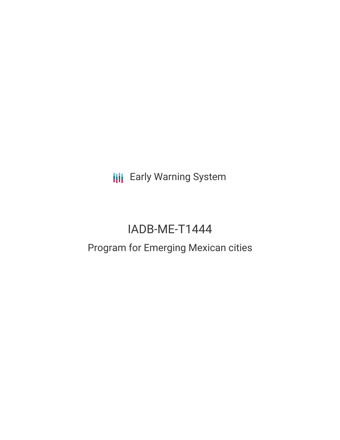**III** Early Warning System

# IADB-ME-T1444

# Program for Emerging Mexican cities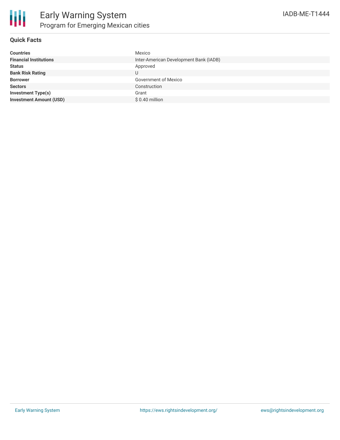

## **Quick Facts**

| <b>Financial Institutions</b><br>Inter-American Development Bank (IADB)<br>Approved<br><b>Status</b> | <b>Countries</b> | Mexico |
|------------------------------------------------------------------------------------------------------|------------------|--------|
|                                                                                                      |                  |        |
|                                                                                                      |                  |        |
| <b>Bank Risk Rating</b><br>U                                                                         |                  |        |
| <b>Government of Mexico</b><br><b>Borrower</b>                                                       |                  |        |
| <b>Sectors</b><br>Construction                                                                       |                  |        |
| <b>Investment Type(s)</b><br>Grant                                                                   |                  |        |
| <b>Investment Amount (USD)</b><br>$$0.40$ million                                                    |                  |        |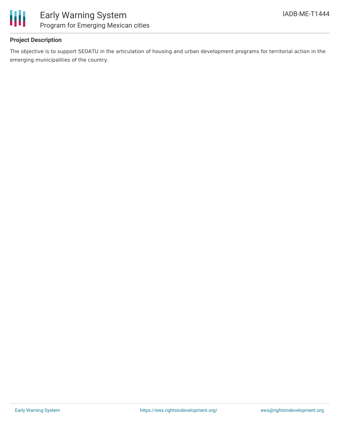

# **Project Description**

The objective is to support SEDATU in the articulation of housing and urban development programs for territorial action in the emerging municipalities of the country.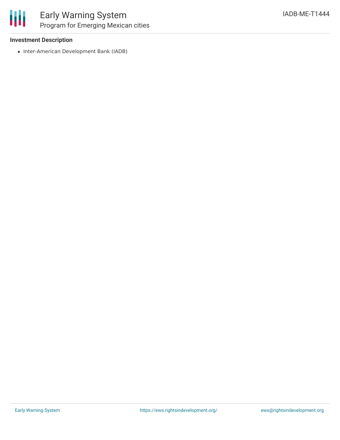

## **Investment Description**

• Inter-American Development Bank (IADB)